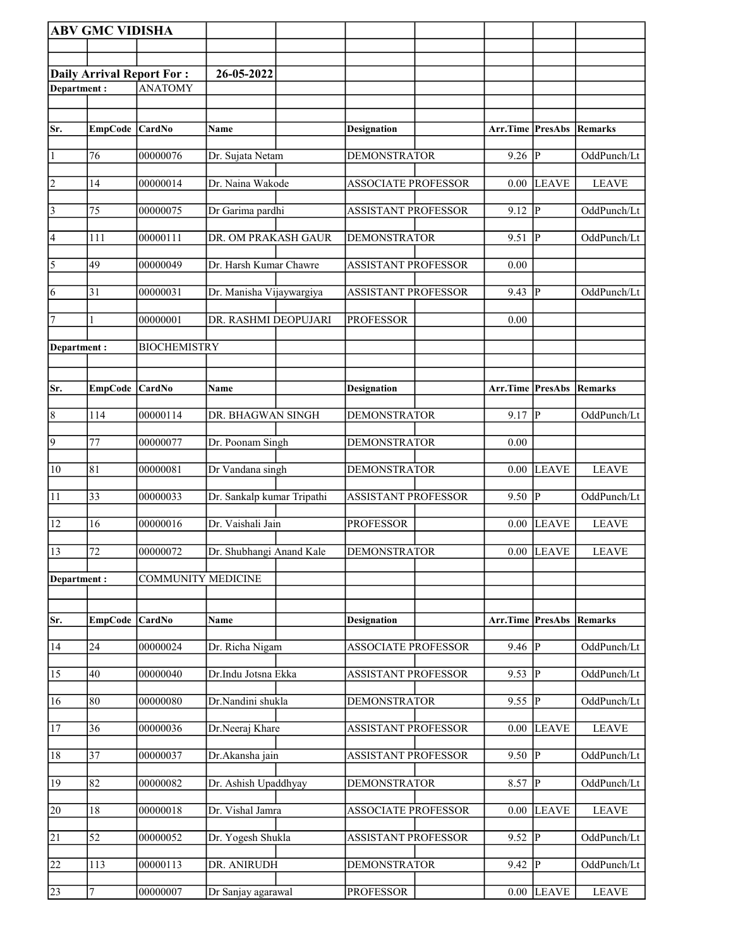|                                                                   | <b>ABV GMC VIDISHA</b> |                           |                            |                            |                                 |                         |              |
|-------------------------------------------------------------------|------------------------|---------------------------|----------------------------|----------------------------|---------------------------------|-------------------------|--------------|
|                                                                   |                        |                           |                            |                            |                                 |                         |              |
|                                                                   |                        |                           | 26-05-2022                 |                            |                                 |                         |              |
| <b>Daily Arrival Report For:</b><br><b>ANATOMY</b><br>Department: |                        |                           |                            |                            |                                 |                         |              |
|                                                                   |                        |                           |                            |                            |                                 |                         |              |
| Sr.                                                               | EmpCode CardNo         |                           | <b>Name</b>                | <b>Designation</b>         | <b>Arr.Time PresAbs Remarks</b> |                         |              |
|                                                                   |                        |                           |                            |                            |                                 |                         |              |
| $\vert$ 1                                                         | 76                     | 00000076                  | Dr. Sujata Netam           | <b>DEMONSTRATOR</b>        | 9.26                            | $\overline{P}$          | OddPunch/Lt  |
| $\overline{2}$                                                    | 14                     | 00000014                  | Dr. Naina Wakode           | <b>ASSOCIATE PROFESSOR</b> | 0.00                            | LEAVE                   | <b>LEAVE</b> |
| $\sqrt{3}$                                                        | 75                     | 00000075                  | Dr Garima pardhi           | <b>ASSISTANT PROFESSOR</b> | 9.12                            | ∣P                      | OddPunch/Lt  |
| 4                                                                 | 111                    | 00000111                  | DR. OM PRAKASH GAUR        | <b>DEMONSTRATOR</b>        | 9.51                            | P                       | OddPunch/Lt  |
| $\overline{\sqrt{5}}$                                             | 49                     | 00000049                  | Dr. Harsh Kumar Chawre     | <b>ASSISTANT PROFESSOR</b> | 0.00                            |                         |              |
| 6                                                                 | 31                     | 00000031                  | Dr. Manisha Vijaywargiya   | <b>ASSISTANT PROFESSOR</b> | 9.43                            | $\overline{P}$          | OddPunch/Lt  |
| $\vert$ 7                                                         |                        | 00000001                  | DR. RASHMI DEOPUJARI       | <b>PROFESSOR</b>           | 0.00                            |                         |              |
| Department:                                                       |                        | <b>BIOCHEMISTRY</b>       |                            |                            |                                 |                         |              |
|                                                                   |                        |                           |                            |                            |                                 |                         |              |
| Sr.                                                               | EmpCode CardNo         |                           | <b>Name</b>                | <b>Designation</b>         | Arr.Time PresAbs                |                         | Remarks      |
| $\overline{8}$                                                    | 114                    | 00000114                  | DR. BHAGWAN SINGH          | <b>DEMONSTRATOR</b>        | 9.17                            | $\overline{P}$          | OddPunch/Lt  |
| $\overline{9}$                                                    | 77                     | 00000077                  | Dr. Poonam Singh           | <b>DEMONSTRATOR</b>        | 0.00                            |                         |              |
| 10                                                                | 81                     | 00000081                  | Dr Vandana singh           | <b>DEMONSTRATOR</b>        | 0.00                            | <b>LEAVE</b>            | <b>LEAVE</b> |
| $\overline{11}$                                                   | 33                     | 00000033                  | Dr. Sankalp kumar Tripathi | <b>ASSISTANT PROFESSOR</b> | 9.50                            | $\overline{\mathbb{P}}$ | OddPunch/Lt  |
| 12                                                                | 16                     | 00000016                  | Dr. Vaishali Jain          | <b>PROFESSOR</b>           | 0.00                            | <b>LEAVE</b>            | <b>LEAVE</b> |
| 13                                                                | 72                     | 00000072                  | Dr. Shubhangi Anand Kale   | <b>DEMONSTRATOR</b>        |                                 | $0.00$ LEAVE            | <b>LEAVE</b> |
| Department:                                                       |                        | <b>COMMUNITY MEDICINE</b> |                            |                            |                                 |                         |              |
|                                                                   |                        |                           |                            |                            |                                 |                         |              |
| Sr.                                                               | <b>EmpCode</b>         | CardNo                    | Name                       | <b>Designation</b>         | Arr.Time                        | <b>PresAbs</b>          | Remarks      |
| 14                                                                | 24                     | 00000024                  | Dr. Richa Nigam            | <b>ASSOCIATE PROFESSOR</b> | 9.46                            | ∣P                      | OddPunch/Lt  |
| 15                                                                | 40                     | 00000040                  | Dr.Indu Jotsna Ekka        | <b>ASSISTANT PROFESSOR</b> | 9.53                            | P                       | OddPunch/Lt  |
| 16                                                                | 80                     | 00000080                  | Dr.Nandini shukla          | <b>DEMONSTRATOR</b>        | 9.55                            | $ {\bf p} $             | OddPunch/Lt  |
| 17                                                                | 36                     | 00000036                  | Dr.Neeraj Khare            | <b>ASSISTANT PROFESSOR</b> | 0.00                            | <b>LEAVE</b>            | <b>LEAVE</b> |
| 18                                                                | 37                     | 00000037                  | Dr.Akansha jain            | ASSISTANT PROFESSOR        | 9.50                            | IР                      | OddPunch/Lt  |
| 19                                                                | 82                     | 00000082                  | Dr. Ashish Upaddhyay       | <b>DEMONSTRATOR</b>        | 8.57                            | P                       | OddPunch/Lt  |
| 20                                                                | 18                     | 00000018                  | Dr. Vishal Jamra           | <b>ASSOCIATE PROFESSOR</b> | 0.00                            | <b>LEAVE</b>            | <b>LEAVE</b> |
| 21                                                                | $\overline{52}$        | 00000052                  | Dr. Yogesh Shukla          | <b>ASSISTANT PROFESSOR</b> | 9.52                            | $\overline{P}$          | OddPunch/Lt  |
| 22                                                                | 113                    | 00000113                  | DR. ANIRUDH                | <b>DEMONSTRATOR</b>        | 9.42                            | P                       | OddPunch/Lt  |
| 23                                                                | 7                      | 00000007                  | Dr Sanjay agarawal         | <b>PROFESSOR</b>           | $0.00\,$                        | <b>LEAVE</b>            | <b>LEAVE</b> |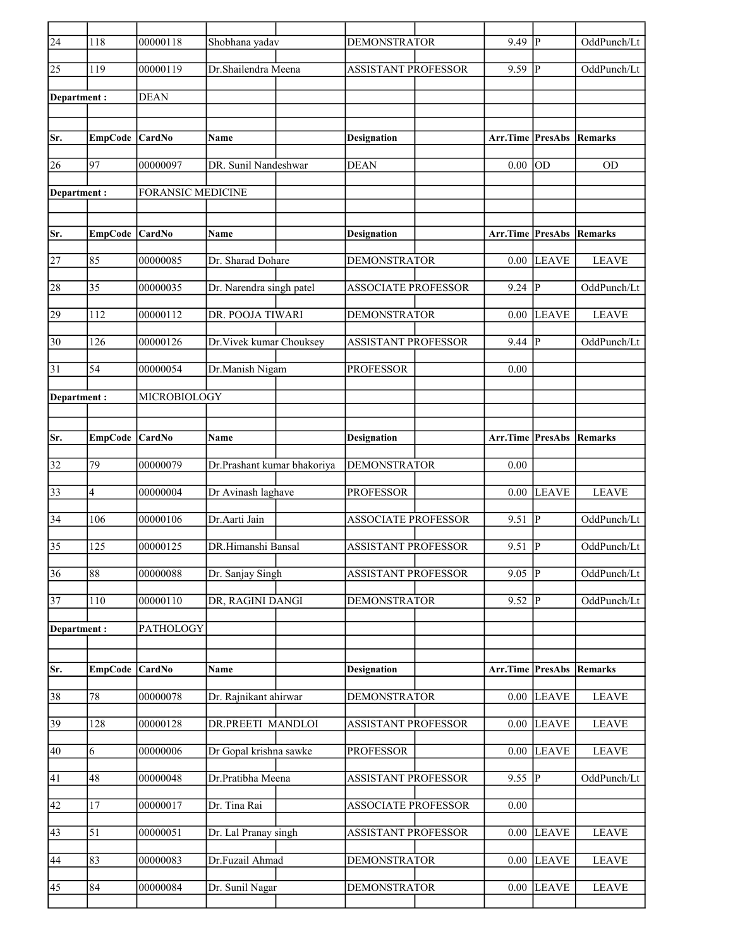| $\overline{24}$ | 118            | 00000118                 | Shobhana yadav              | <b>DEMONSTRATOR</b>        | 9.49                            | lР                      | OddPunch/Lt            |
|-----------------|----------------|--------------------------|-----------------------------|----------------------------|---------------------------------|-------------------------|------------------------|
| $ 25\rangle$    | 119            | 00000119                 | Dr.Shailendra Meena         | <b>ASSISTANT PROFESSOR</b> | 9.59                            | P                       | OddPunch/Lt            |
| Department :    |                | <b>DEAN</b>              |                             |                            |                                 |                         |                        |
|                 |                |                          |                             |                            |                                 |                         |                        |
| Sr.             | <b>EmpCode</b> | <b>CardNo</b>            | Name                        | <b>Designation</b>         | Arr.Time                        | <b>PresAbs</b>          | Remarks                |
| 26              | 97             | 00000097                 | DR. Sunil Nandeshwar        | <b>DEAN</b>                | 0.00                            | <b>OD</b>               | <b>OD</b>              |
| Department :    |                | <b>FORANSIC MEDICINE</b> |                             |                            |                                 |                         |                        |
| Sr.             | <b>EmpCode</b> | <b>CardNo</b>            | <b>Name</b>                 | <b>Designation</b>         | <b>Arr.Time PresAbs Remarks</b> |                         |                        |
| 27              | 85             | 00000085                 | Dr. Sharad Dohare           | <b>DEMONSTRATOR</b>        | 0.00                            | <b>LEAVE</b>            | <b>LEAVE</b>           |
|                 |                |                          |                             |                            |                                 |                         |                        |
| 28              | 35             | 00000035                 | Dr. Narendra singh patel    | <b>ASSOCIATE PROFESSOR</b> | 9.24                            | $\overline{P}$          | OddPunch/Lt            |
| 29              | 112            | 00000112                 | DR. POOJA TIWARI            | <b>DEMONSTRATOR</b>        | 0.00                            | <b>LEAVE</b>            | <b>LEAVE</b>           |
| 30              | 126            | 00000126                 | Dr. Vivek kumar Chouksey    | <b>ASSISTANT PROFESSOR</b> | 9.44                            | P                       | OddPunch/Lt            |
| 31              | 54             | 00000054                 | Dr.Manish Nigam             | <b>PROFESSOR</b>           | 0.00                            |                         |                        |
| Department :    |                | MICROBIOLOGY             |                             |                            |                                 |                         |                        |
|                 |                |                          |                             |                            |                                 |                         |                        |
| Sr.             | <b>EmpCode</b> | <b>CardNo</b>            | <b>Name</b>                 | <b>Designation</b>         | Arr.Time                        |                         | <b>PresAbs Remarks</b> |
| 32              | 79             | 00000079                 | Dr.Prashant kumar bhakoriya | <b>DEMONSTRATOR</b>        | 0.00                            |                         |                        |
| 33              | 4              | 00000004                 | Dr Avinash laghave          | <b>PROFESSOR</b>           | 0.00                            | LEAVE                   | <b>LEAVE</b>           |
| 34              | 106            | 00000106                 | Dr.Aarti Jain               | <b>ASSOCIATE PROFESSOR</b> | 9.51                            | $\overline{P}$          | OddPunch/Lt            |
| 35              | 125            | 00000125                 | DR.Himanshi Bansal          | ASSISTANT PROFESSOR        | 9.51                            | $\overline{P}$          | OddPunch/Lt            |
| 36              | 88             | 00000088                 | Dr. Sanjay Singh            | <b>ASSISTANT PROFESSOR</b> | 9.05                            | $\overline{\mathbb{P}}$ | OddPunch/Lt            |
| 37              | 110            | 00000110                 | DR, RAGINI DANGI            | <b>DEMONSTRATOR</b>        | 9.52                            | lР                      | OddPunch/Lt            |
| Department:     |                | PATHOLOGY                |                             |                            |                                 |                         |                        |
|                 |                |                          |                             |                            |                                 |                         |                        |
| Sr.             | <b>EmpCode</b> | CardNo                   | Name                        | <b>Designation</b>         | Arr.Time                        | PresAbs                 | Remarks                |
| 38              | 78             | 00000078                 | Dr. Rajnikant ahirwar       | <b>DEMONSTRATOR</b>        | 0.00                            | <b>LEAVE</b>            | <b>LEAVE</b>           |
| $\overline{39}$ | 128            | 00000128                 | DR.PREETI MANDLOI           | <b>ASSISTANT PROFESSOR</b> | 0.00                            | <b>LEAVE</b>            | <b>LEAVE</b>           |
| 40              | 6              | 00000006                 | Dr Gopal krishna sawke      | <b>PROFESSOR</b>           | 0.00                            | <b>LEAVE</b>            | <b>LEAVE</b>           |
| 41              | 48             | 00000048                 | Dr.Pratibha Meena           | <b>ASSISTANT PROFESSOR</b> | 9.55  P                         |                         | OddPunch/Lt            |
| 42              | 17             | 00000017                 | Dr. Tina Rai                | <b>ASSOCIATE PROFESSOR</b> | 0.00                            |                         |                        |
| 43              | 51             | 00000051                 | Dr. Lal Pranay singh        | <b>ASSISTANT PROFESSOR</b> | 0.00                            | <b>LEAVE</b>            | <b>LEAVE</b>           |
| 44              | 83             | 00000083                 | Dr.Fuzail Ahmad             | <b>DEMONSTRATOR</b>        | 0.00                            | <b>LEAVE</b>            | <b>LEAVE</b>           |
| 45              | 84             | 00000084                 | Dr. Sunil Nagar             | <b>DEMONSTRATOR</b>        | 0.00                            | <b>LEAVE</b>            | <b>LEAVE</b>           |
|                 |                |                          |                             |                            |                                 |                         |                        |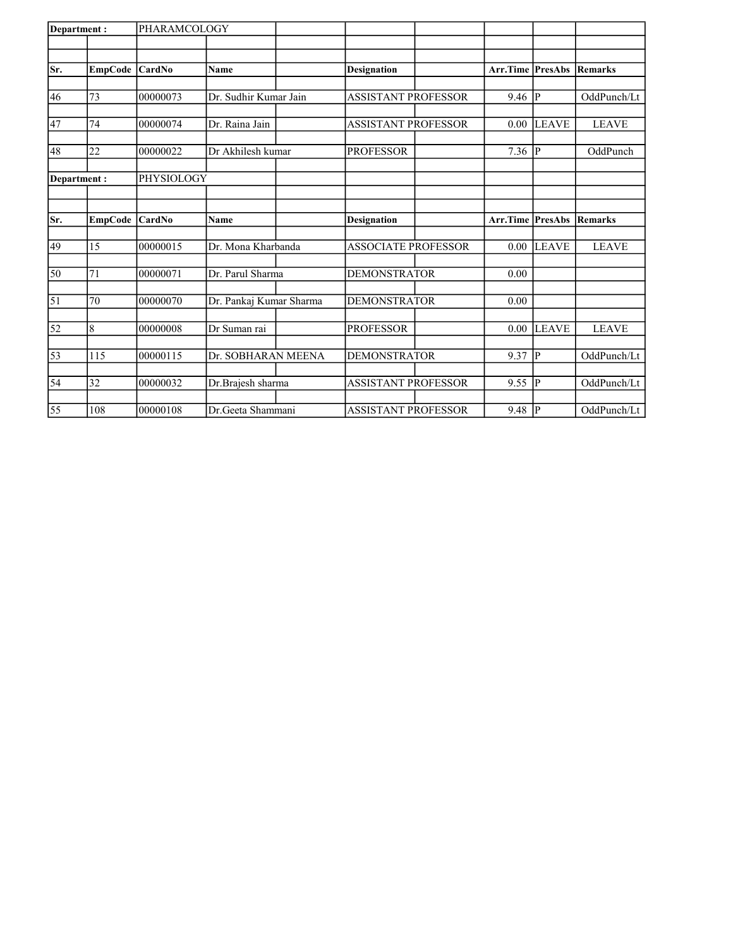| Department:     |         | PHARAMCOLOGY  |                         |                            |                         |                |                |
|-----------------|---------|---------------|-------------------------|----------------------------|-------------------------|----------------|----------------|
|                 |         |               |                         |                            |                         |                |                |
| Sr.             | EmpCode | <b>CardNo</b> | <b>Name</b>             | <b>Designation</b>         | Arr.Time                | <b>PresAbs</b> | Remarks        |
|                 |         |               |                         |                            |                         |                |                |
| 46              | 73      | 00000073      | Dr. Sudhir Kumar Jain   | <b>ASSISTANT PROFESSOR</b> | 9.46                    | $\overline{P}$ | OddPunch/Lt    |
|                 |         |               |                         |                            |                         |                |                |
| 47              | 74      | 00000074      | Dr. Raina Jain          | <b>ASSISTANT PROFESSOR</b> | 0.00                    | <b>LEAVE</b>   | <b>LEAVE</b>   |
| 48              | 22      | 00000022      | Dr Akhilesh kumar       | <b>PROFESSOR</b>           | 7.36                    | IР             | OddPunch       |
|                 |         |               |                         |                            |                         |                |                |
| Department:     |         | PHYSIOLOGY    |                         |                            |                         |                |                |
|                 |         |               |                         |                            |                         |                |                |
|                 |         |               |                         |                            |                         |                |                |
| lSr.            | EmpCode | <b>CardNo</b> | <b>Name</b>             | <b>Designation</b>         | <b>Arr.Time PresAbs</b> |                | <b>Remarks</b> |
| 49              | 15      | 00000015      | Dr. Mona Kharbanda      | <b>ASSOCIATE PROFESSOR</b> | 0.00                    | <b>LEAVE</b>   | <b>LEAVE</b>   |
|                 |         |               |                         |                            |                         |                |                |
| 50              | 71      | 00000071      | Dr. Parul Sharma        | <b>DEMONSTRATOR</b>        | 0.00                    |                |                |
|                 |         |               |                         |                            |                         |                |                |
| 51              | 70      | 00000070      | Dr. Pankaj Kumar Sharma | <b>DEMONSTRATOR</b>        | 0.00                    |                |                |
|                 | 8       | 00000008      | Dr Suman rai            | <b>PROFESSOR</b>           | 0.00                    | LEAVE          | <b>LEAVE</b>   |
| 52              |         |               |                         |                            |                         |                |                |
| 53              | 115     | 00000115      | Dr. SOBHARAN MEENA      | <b>DEMONSTRATOR</b>        | 9.37                    | lр             | OddPunch/Lt    |
|                 |         |               |                         |                            |                         |                |                |
| $\overline{54}$ | 32      | 00000032      | Dr.Brajesh sharma       | <b>ASSISTANT PROFESSOR</b> | 9.55                    | lР             | OddPunch/Lt    |
|                 |         |               |                         |                            |                         |                |                |
| 55              | 108     | 00000108      | Dr.Geeta Shammani       | <b>ASSISTANT PROFESSOR</b> | 9.48                    | IР             | OddPunch/Lt    |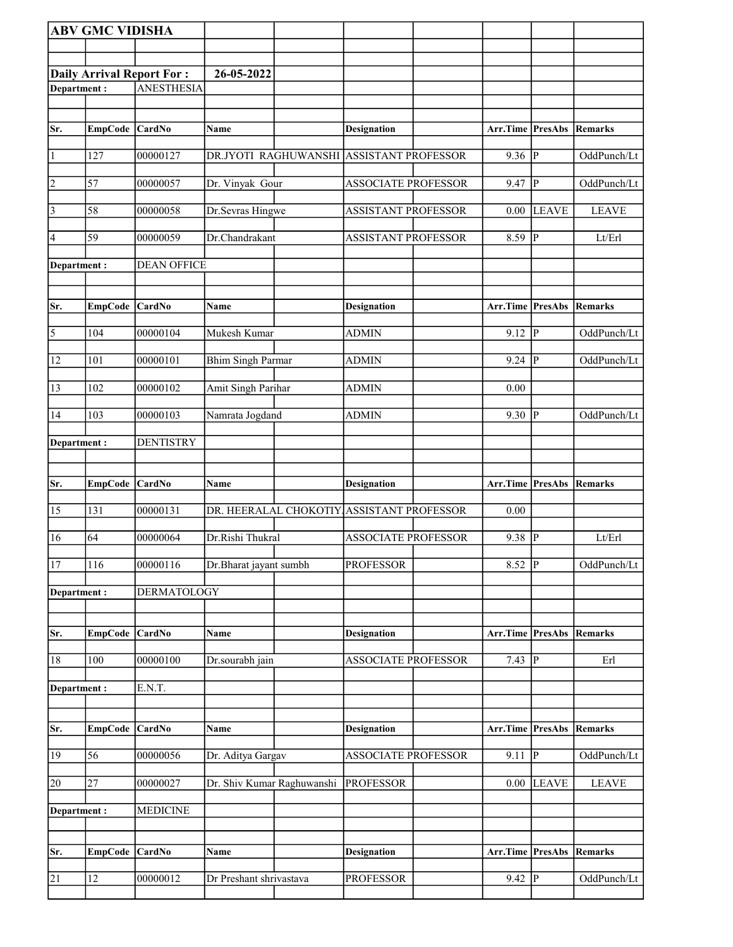|                 | <b>ABV GMC VIDISHA</b> |                                  |                            |                                           |                                 |                         |                |
|-----------------|------------------------|----------------------------------|----------------------------|-------------------------------------------|---------------------------------|-------------------------|----------------|
|                 |                        |                                  |                            |                                           |                                 |                         |                |
|                 |                        | <b>Daily Arrival Report For:</b> | 26-05-2022                 |                                           |                                 |                         |                |
| Department:     |                        | <b>ANESTHESIA</b>                |                            |                                           |                                 |                         |                |
|                 |                        |                                  |                            |                                           |                                 |                         |                |
| Sr.             | EmpCode CardNo         |                                  | Name                       | <b>Designation</b>                        | Arr.Time PresAbs                |                         | Remarks        |
| $\vert$ 1       | 127                    | 00000127                         |                            | DR.JYOTI RAGHUWANSHI ASSISTANT PROFESSOR  | 9.36                            | P                       | OddPunch/Lt    |
| $\overline{2}$  | 57                     | 00000057                         | Dr. Vinyak Gour            | <b>ASSOCIATE PROFESSOR</b>                | 9.47                            | P                       | OddPunch/Lt    |
| $\vert$ 3       | 58                     | 00000058                         | Dr.Sevras Hingwe           | <b>ASSISTANT PROFESSOR</b>                |                                 | $0.00$ LEAVE            | <b>LEAVE</b>   |
| $\vert 4 \vert$ | 59                     | 00000059                         | Dr.Chandrakant             | <b>ASSISTANT PROFESSOR</b>                | 8.59                            | $ {\bf P} $             | Lt/Erl         |
| Department:     |                        | <b>DEAN OFFICE</b>               |                            |                                           |                                 |                         |                |
| Sr.             | EmpCode CardNo         |                                  | <b>Name</b>                | <b>Designation</b>                        | Arr.Time PresAbs                |                         | Remarks        |
| $\sqrt{5}$      | 104                    | 00000104                         | Mukesh Kumar               | <b>ADMIN</b>                              | $9.12$ P                        |                         | OddPunch/Lt    |
| 12              | 101                    | 00000101                         | <b>Bhim Singh Parmar</b>   | <b>ADMIN</b>                              | $9.24$ P                        |                         | OddPunch/Lt    |
| 13              | 102                    | 00000102                         | Amit Singh Parihar         | <b>ADMIN</b>                              | 0.00                            |                         |                |
| 14              | 103                    | 00000103                         | Namrata Jogdand            | <b>ADMIN</b>                              | $9.30$ P                        |                         | OddPunch/Lt    |
| Department:     |                        | <b>DENTISTRY</b>                 |                            |                                           |                                 |                         |                |
|                 |                        |                                  |                            |                                           |                                 |                         |                |
| Sr.             | EmpCode CardNo         |                                  | Name                       | <b>Designation</b>                        | Arr.Time PresAbs                |                         | Remarks        |
| 15              | 131                    | 00000131                         |                            | DR. HEERALAL CHOKOTIY ASSISTANT PROFESSOR | $0.00\,$                        |                         |                |
| 16              | 64                     | 00000064                         | Dr.Rishi Thukral           | <b>ASSOCIATE PROFESSOR</b>                | 9.38                            | $\overline{\mathbb{P}}$ | Lt/Erl         |
| 17              | 116                    | 00000116                         | Dr.Bharat jayant sumbh     | <b>PROFESSOR</b>                          | 8.52 P                          |                         | OddPunch/Lt    |
| Department:     |                        | <b>DERMATOLOGY</b>               |                            |                                           |                                 |                         |                |
| Sr.             | <b>EmpCode</b>         | CardNo                           | Name                       | <b>Designation</b>                        | Arr.Time                        | PresAbs                 | <b>Remarks</b> |
| 18              | 100                    | 00000100                         | Dr.sourabh jain            | <b>ASSOCIATE PROFESSOR</b>                | 7.43 $\vert \overline{P} \vert$ |                         | Erl            |
| Department:     |                        | E.N.T.                           |                            |                                           |                                 |                         |                |
|                 |                        |                                  |                            |                                           |                                 |                         |                |
| Sr.             | EmpCode CardNo         |                                  | Name                       | <b>Designation</b>                        | Arr.Time PresAbs                |                         | Remarks        |
| 19              | 56                     | 00000056                         | Dr. Aditya Gargav          | <b>ASSOCIATE PROFESSOR</b>                | $9.11$ P                        |                         | OddPunch/Lt    |
| 20              | 27                     | 00000027                         | Dr. Shiv Kumar Raghuwanshi | <b>PROFESSOR</b>                          | 0.00                            | <b>LEAVE</b>            | <b>LEAVE</b>   |
| Department:     |                        | <b>MEDICINE</b>                  |                            |                                           |                                 |                         |                |
| Sr.             | <b>EmpCode</b>         | CardNo                           | Name                       | <b>Designation</b>                        | Arr.Time PresAbs                |                         | Remarks        |
| 21              | 12                     | 00000012                         | Dr Preshant shrivastava    | <b>PROFESSOR</b>                          | $9.42$ P                        |                         | OddPunch/Lt    |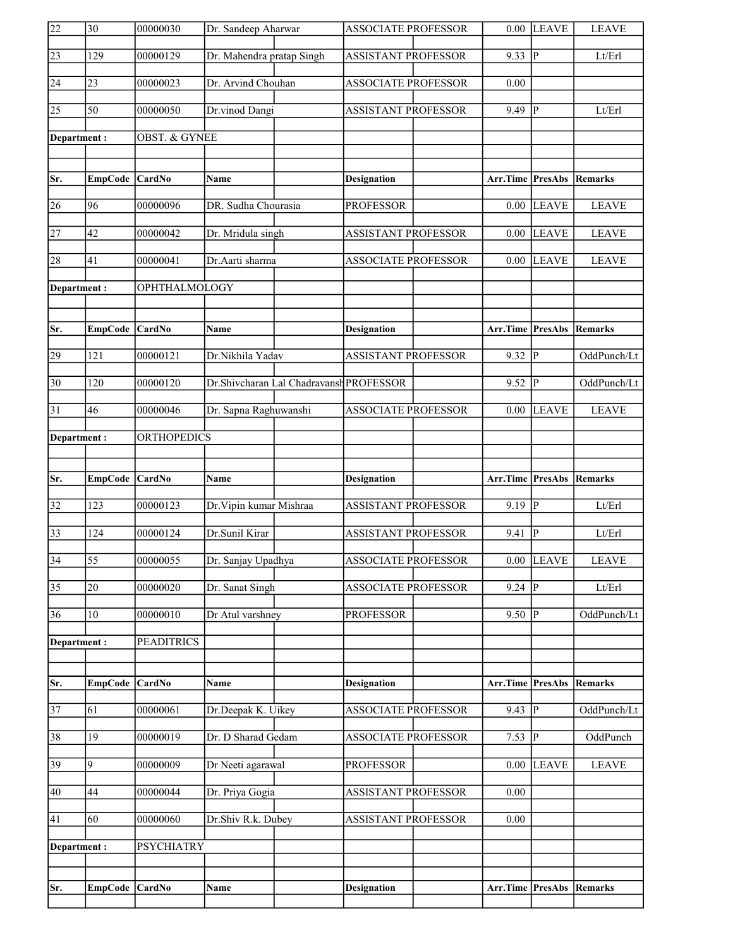| 22              | 30              | 00000030                 | Dr. Sandeep Aharwar                     | <b>ASSOCIATE PROFESSOR</b> |                     | $0.00$ LEAVE   | <b>LEAVE</b>               |
|-----------------|-----------------|--------------------------|-----------------------------------------|----------------------------|---------------------|----------------|----------------------------|
| $\overline{23}$ | 129             | 00000129                 | Dr. Mahendra pratap Singh               | <b>ASSISTANT PROFESSOR</b> | 9.33                | P              | Lt/Erl                     |
| 24              | 23              | 00000023                 | Dr. Arvind Chouhan                      | <b>ASSOCIATE PROFESSOR</b> | 0.00                |                |                            |
| $\overline{25}$ | $\overline{50}$ | 00000050                 | Dr.vinod Dangi                          | <b>ASSISTANT PROFESSOR</b> | 9.49                | P              | Lt/Erl                     |
| Department:     |                 | <b>OBST. &amp; GYNEE</b> |                                         |                            |                     |                |                            |
|                 |                 |                          |                                         |                            |                     |                |                            |
| Sr.             | EmpCode CardNo  |                          | <b>Name</b>                             | <b>Designation</b>         | Arr.Time PresAbs    |                | Remarks                    |
| 26              | 96              | 00000096                 | DR. Sudha Chourasia                     | <b>PROFESSOR</b>           | 0.00                | <b>LEAVE</b>   | <b>LEAVE</b>               |
| $\overline{27}$ | 42              | 00000042                 | Dr. Mridula singh                       | <b>ASSISTANT PROFESSOR</b> | 0.00                | <b>LEAVE</b>   | <b>LEAVE</b>               |
| 28              | 41              | 00000041                 | Dr.Aarti sharma                         | <b>ASSOCIATE PROFESSOR</b> | $0.00\,$            | <b>LEAVE</b>   | <b>LEAVE</b>               |
| Department:     |                 | OPHTHALMOLOGY            |                                         |                            |                     |                |                            |
|                 |                 |                          |                                         |                            |                     |                |                            |
| Sr.             | EmpCode CardNo  |                          | <b>Name</b>                             | <b>Designation</b>         | Arr.Time PresAbs    |                | Remarks                    |
| 29              | 121             | 00000121                 | Dr.Nikhila Yadav                        | <b>ASSISTANT PROFESSOR</b> | 9.32                | $ {\bf p} $    | OddPunch/Lt                |
| $\overline{30}$ | 120             | 00000120                 | Dr.Shivcharan Lal Chadravansh PROFESSOR |                            | 9.52                | P              | OddPunch/Lt                |
| 31              | 46              | 00000046                 | Dr. Sapna Raghuwanshi                   | <b>ASSOCIATE PROFESSOR</b> | 0.00                | <b>LEAVE</b>   | <b>LEAVE</b>               |
| Department:     |                 | <b>ORTHOPEDICS</b>       |                                         |                            |                     |                |                            |
|                 |                 |                          |                                         |                            |                     |                |                            |
|                 |                 |                          |                                         |                            |                     |                |                            |
| Sr.             | EmpCode CardNo  |                          | Name                                    | <b>Designation</b>         | Arr.Time            | PresAbs        | Remarks                    |
| $\overline{32}$ | 123             | 00000123                 | Dr. Vipin kumar Mishraa                 | <b>ASSISTANT PROFESSOR</b> | 9.19                | P              | $\mathbf{Lt}/\mathbf{Erl}$ |
| $\overline{33}$ | 124             | 00000124                 | Dr.Sunil Kirar                          | <b>ASSISTANT PROFESSOR</b> | 9.41                | P              | Lt/Erl                     |
| $\overline{34}$ | $\overline{55}$ | 00000055                 | Dr. Sanjay Upadhya                      | ASSOCIATE PROFESSOR        |                     | $0.00$ LEAVE   | <b>LEAVE</b>               |
| $\overline{35}$ | 20              | 00000020                 | Dr. Sanat Singh                         | <b>ASSOCIATE PROFESSOR</b> | 9.24                | $ {\bf p} $    | Lt/Erl                     |
| 36              | 10              | 00000010                 | Dr Atul varshney                        | <b>PROFESSOR</b>           | 9.50                | lP.            | OddPunch/Lt                |
| Department:     |                 | <b>PEADITRICS</b>        |                                         |                            |                     |                |                            |
|                 |                 |                          |                                         |                            |                     |                |                            |
| Sr.             | <b>EmpCode</b>  | CardNo                   | <b>Name</b>                             | <b>Designation</b>         | Arr.Time            | <b>PresAbs</b> | Remarks                    |
| $\overline{37}$ | 61              | 00000061                 | Dr.Deepak K. Uikey                      | <b>ASSOCIATE PROFESSOR</b> | $9.43 \overline{P}$ |                | OddPunch/Lt                |
| 38              | 19              | 00000019                 | Dr. D Sharad Gedam                      | <b>ASSOCIATE PROFESSOR</b> | 7.53                | lР             | OddPunch                   |
| 39              | 9               | 00000009                 | Dr Neeti agarawal                       | <b>PROFESSOR</b>           | 0.00                | <b>LEAVE</b>   | <b>LEAVE</b>               |
| 40              | 44              | 00000044                 | Dr. Priya Gogia                         | <b>ASSISTANT PROFESSOR</b> | 0.00                |                |                            |
| 41              | 60              | 00000060                 | Dr.Shiv R.k. Dubey                      | <b>ASSISTANT PROFESSOR</b> | 0.00                |                |                            |
| Department:     |                 | <b>PSYCHIATRY</b>        |                                         |                            |                     |                |                            |
|                 |                 |                          |                                         |                            |                     |                |                            |